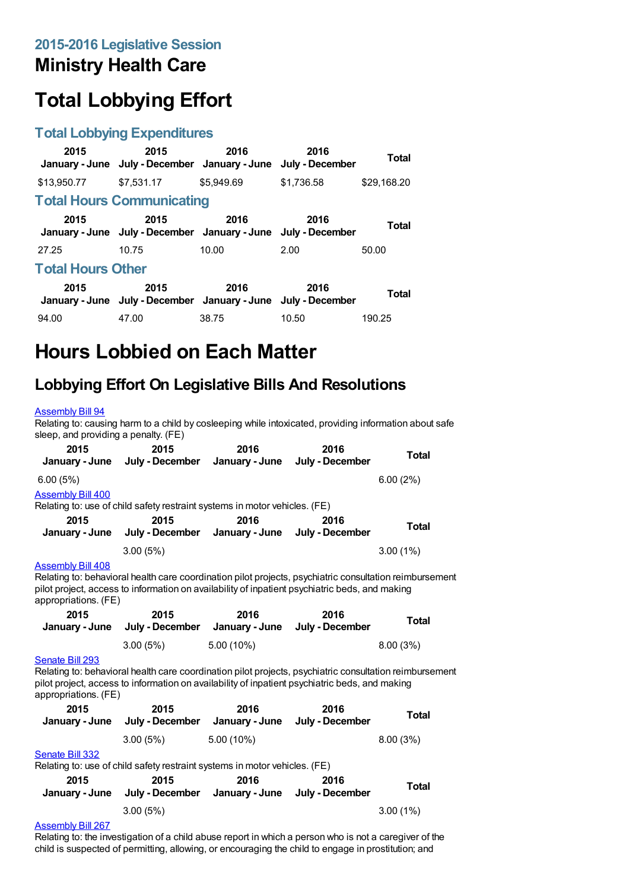### **Ministry Health Care**

# **Total Lobbying Effort**

#### **Total Lobbying Expenditures**

| 2015                     | 2015<br>January - June July - December January - June                 | 2016       | 2016<br>July - December | Total       |  |
|--------------------------|-----------------------------------------------------------------------|------------|-------------------------|-------------|--|
| \$13,950.77              | \$7.531.17                                                            | \$5.949.69 | \$1.736.58              | \$29,168.20 |  |
|                          | <b>Total Hours Communicating</b>                                      |            |                         |             |  |
| 2015                     | 2015<br>January - June July - December January - June July - December | 2016       | 2016                    | Total       |  |
| 27.25                    | 10.75                                                                 | 10.00      | 2.00                    | 50.00       |  |
| <b>Total Hours Other</b> |                                                                       |            |                         |             |  |
| 2015                     | 2015<br>January - June July - December January - June July - December | 2016       | 2016                    | Total       |  |
| 94.00                    | 47.00                                                                 | 38.75      | 10.50                   | 190.25      |  |

# **Hours Lobbied on Each Matter**

#### **Lobbying Effort On Legislative Bills And Resolutions**

#### [Assembly](https://lobbying.wi.gov/What/BillInformation/2015REG/Information/11772?tab=Efforts) Bill 94

Relating to: causing harm to a child by cosleeping while intoxicated, providing information about safe sleep, and providing a penalty. (FE)

| 2015<br>January - June                                                                                                                                                                                                                               | 2015<br>July - December                                                    | 2016<br>January - June | 2016<br>July - December        | <b>Total</b> |  |
|------------------------------------------------------------------------------------------------------------------------------------------------------------------------------------------------------------------------------------------------------|----------------------------------------------------------------------------|------------------------|--------------------------------|--------------|--|
| 6.00(5%)                                                                                                                                                                                                                                             |                                                                            |                        |                                | 6.00(2%)     |  |
| <b>Assembly Bill 400</b>                                                                                                                                                                                                                             |                                                                            |                        |                                |              |  |
|                                                                                                                                                                                                                                                      | Relating to: use of child safety restraint systems in motor vehicles. (FE) |                        |                                |              |  |
| 2015                                                                                                                                                                                                                                                 | 2015                                                                       | 2016                   | 2016                           | <b>Total</b> |  |
| January - June                                                                                                                                                                                                                                       | July - December                                                            | January - June         | July - December                |              |  |
|                                                                                                                                                                                                                                                      | 3.00(5%)                                                                   |                        |                                | 3.00(1%)     |  |
| <b>Assembly Bill 408</b>                                                                                                                                                                                                                             |                                                                            |                        |                                |              |  |
| Relating to: behavioral health care coordination pilot projects, psychiatric consultation reimbursement<br>pilot project, access to information on availability of inpatient psychiatric beds, and making<br>appropriations. (FE)                    |                                                                            |                        |                                |              |  |
| 2015                                                                                                                                                                                                                                                 | 2015                                                                       | 2016                   | 2016                           | <b>Total</b> |  |
| January - June                                                                                                                                                                                                                                       | July - December                                                            | January - June         | July - December                |              |  |
|                                                                                                                                                                                                                                                      | 3.00(5%)                                                                   | $5.00(10\%)$           |                                | 8.00(3%)     |  |
| Senate Bill 293<br>Relating to: behavioral health care coordination pilot projects, psychiatric consultation reimbursement<br>pilot project, access to information on availability of inpatient psychiatric beds, and making<br>appropriations. (FE) |                                                                            |                        |                                |              |  |
| 2015                                                                                                                                                                                                                                                 | 2015                                                                       | 2016                   | 2016                           |              |  |
|                                                                                                                                                                                                                                                      | January - June July - December                                             | January - June         | July - December                | <b>Total</b> |  |
|                                                                                                                                                                                                                                                      | 3.00(5%)                                                                   | $5.00(10\%)$           |                                | 8.00(3%)     |  |
| Senate Bill 332                                                                                                                                                                                                                                      |                                                                            |                        |                                |              |  |
| Relating to: use of child safety restraint systems in motor vehicles. (FE)                                                                                                                                                                           |                                                                            |                        |                                |              |  |
| 2015                                                                                                                                                                                                                                                 | 2015                                                                       | 2016                   | 2016                           |              |  |
|                                                                                                                                                                                                                                                      | January - June July - December                                             |                        | January - June July - December | <b>Total</b> |  |

#### [Assembly](https://lobbying.wi.gov/What/BillInformation/2015REG/Information/12133?tab=Efforts) Bill 267

Relating to: the investigation of a child abuse report in which a person who is not a caregiver of the child is suspected of permitting, allowing, or encouraging the child to engage in prostitution; and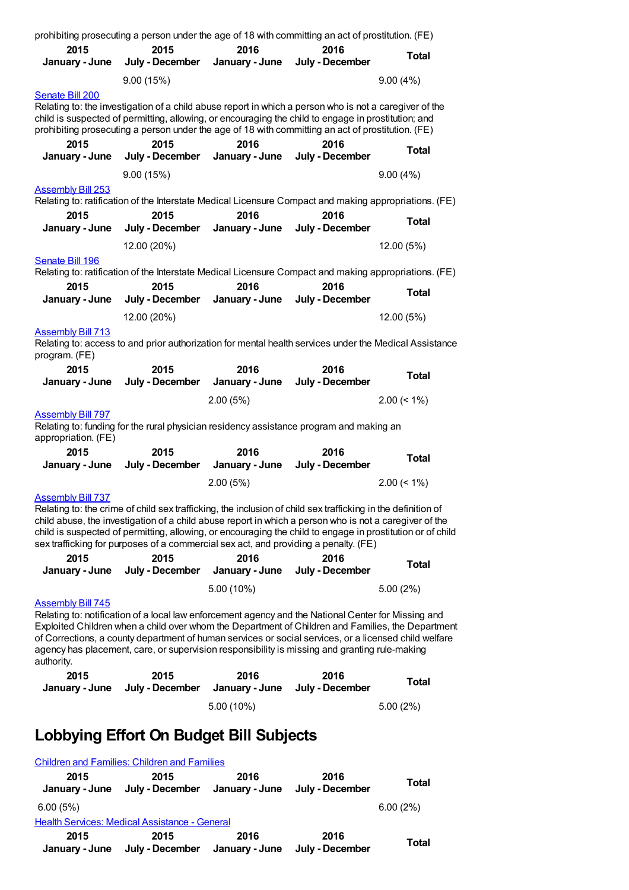| prohibiting prosecuting a person under the age of 18 with committing an act of prostitution. (FE)                                                                                                                                                                                                                                     |                         |                                                                                                                                                                                                                                                                                                                                                                                                                             |                         |                |  |
|---------------------------------------------------------------------------------------------------------------------------------------------------------------------------------------------------------------------------------------------------------------------------------------------------------------------------------------|-------------------------|-----------------------------------------------------------------------------------------------------------------------------------------------------------------------------------------------------------------------------------------------------------------------------------------------------------------------------------------------------------------------------------------------------------------------------|-------------------------|----------------|--|
| 2015<br>January - June                                                                                                                                                                                                                                                                                                                | 2015<br>July - December | 2016<br>January - June                                                                                                                                                                                                                                                                                                                                                                                                      | 2016<br>July - December | <b>Total</b>   |  |
|                                                                                                                                                                                                                                                                                                                                       | 9.00(15%)               |                                                                                                                                                                                                                                                                                                                                                                                                                             |                         | 9.00(4%)       |  |
| Senate Bill 200<br>Relating to: the investigation of a child abuse report in which a person who is not a caregiver of the<br>child is suspected of permitting, allowing, or encouraging the child to engage in prostitution; and<br>prohibiting prosecuting a person under the age of 18 with committing an act of prostitution. (FE) |                         |                                                                                                                                                                                                                                                                                                                                                                                                                             |                         |                |  |
| 2015<br>January - June                                                                                                                                                                                                                                                                                                                | 2015<br>July - December | 2016<br>January - June                                                                                                                                                                                                                                                                                                                                                                                                      | 2016<br>July - December | <b>Total</b>   |  |
|                                                                                                                                                                                                                                                                                                                                       | 9.00(15%)               |                                                                                                                                                                                                                                                                                                                                                                                                                             |                         | 9.00(4%)       |  |
| <b>Assembly Bill 253</b>                                                                                                                                                                                                                                                                                                              |                         | Relating to: ratification of the Interstate Medical Licensure Compact and making appropriations. (FE)                                                                                                                                                                                                                                                                                                                       |                         |                |  |
| 2015                                                                                                                                                                                                                                                                                                                                  | 2015                    | 2016                                                                                                                                                                                                                                                                                                                                                                                                                        | 2016                    | <b>Total</b>   |  |
| January - June                                                                                                                                                                                                                                                                                                                        | July - December         | January - June                                                                                                                                                                                                                                                                                                                                                                                                              | July - December         |                |  |
| Senate Bill 196                                                                                                                                                                                                                                                                                                                       | 12.00 (20%)             |                                                                                                                                                                                                                                                                                                                                                                                                                             |                         | 12.00 (5%)     |  |
|                                                                                                                                                                                                                                                                                                                                       |                         | Relating to: ratification of the Interstate Medical Licensure Compact and making appropriations. (FE)                                                                                                                                                                                                                                                                                                                       |                         |                |  |
| 2015<br>January - June                                                                                                                                                                                                                                                                                                                | 2015<br>July - December | 2016<br>January - June                                                                                                                                                                                                                                                                                                                                                                                                      | 2016<br>July - December | <b>Total</b>   |  |
|                                                                                                                                                                                                                                                                                                                                       | 12.00 (20%)             |                                                                                                                                                                                                                                                                                                                                                                                                                             |                         | 12.00 (5%)     |  |
| <b>Assembly Bill 713</b>                                                                                                                                                                                                                                                                                                              |                         |                                                                                                                                                                                                                                                                                                                                                                                                                             |                         |                |  |
| program. (FE)                                                                                                                                                                                                                                                                                                                         |                         | Relating to: access to and prior authorization for mental health services under the Medical Assistance                                                                                                                                                                                                                                                                                                                      |                         |                |  |
| 2015                                                                                                                                                                                                                                                                                                                                  | 2015                    | 2016                                                                                                                                                                                                                                                                                                                                                                                                                        | 2016                    | <b>Total</b>   |  |
|                                                                                                                                                                                                                                                                                                                                       |                         |                                                                                                                                                                                                                                                                                                                                                                                                                             |                         |                |  |
| January - June                                                                                                                                                                                                                                                                                                                        | July - December         | January - June<br>2.00(5%)                                                                                                                                                                                                                                                                                                                                                                                                  | July - December         | $2.00 \le 1\%$ |  |
| <b>Assembly Bill 797</b><br>appropriation. (FE)                                                                                                                                                                                                                                                                                       |                         | Relating to: funding for the rural physician residency assistance program and making an                                                                                                                                                                                                                                                                                                                                     |                         |                |  |
| 2015                                                                                                                                                                                                                                                                                                                                  | 2015                    | 2016                                                                                                                                                                                                                                                                                                                                                                                                                        | 2016                    |                |  |
| January - June                                                                                                                                                                                                                                                                                                                        |                         | July - December January - June                                                                                                                                                                                                                                                                                                                                                                                              | July - December         | <b>Total</b>   |  |
|                                                                                                                                                                                                                                                                                                                                       |                         | 2.00(5%)                                                                                                                                                                                                                                                                                                                                                                                                                    |                         | $2.00 (< 1\%)$ |  |
| <b>Assembly Bill 737</b>                                                                                                                                                                                                                                                                                                              |                         | Relating to: the crime of child sex trafficking, the inclusion of child sex trafficking in the definition of<br>child abuse, the investigation of a child abuse report in which a person who is not a caregiver of the<br>child is suspected of permitting, allowing, or encouraging the child to engage in prostitution or of child<br>sex trafficking for purposes of a commercial sex act, and providing a penalty. (FE) |                         |                |  |
| 2015                                                                                                                                                                                                                                                                                                                                  | 2015                    | 2016                                                                                                                                                                                                                                                                                                                                                                                                                        | 2016                    | <b>Total</b>   |  |
| January - June                                                                                                                                                                                                                                                                                                                        | July - December         | January - June<br>5.00 (10%)                                                                                                                                                                                                                                                                                                                                                                                                | July - December         |                |  |
| <b>Assembly Bill 745</b><br>authority.                                                                                                                                                                                                                                                                                                |                         | Relating to: notification of a local law enforcement agency and the National Center for Missing and<br>Exploited Children when a child over whom the Department of Children and Families, the Department<br>of Corrections, a county department of human services or social services, or a licensed child welfare<br>agency has placement, care, or supervision responsibility is missing and granting rule-making          |                         | 5.00 (2%)      |  |
| 2015<br>January - June                                                                                                                                                                                                                                                                                                                | 2015<br>July - December | 2016<br>January - June                                                                                                                                                                                                                                                                                                                                                                                                      | 2016<br>July - December | <b>Total</b>   |  |

## **Lobbying Effort On Budget Bill Subjects**

|                        | <b>Children and Families: Children and Families</b> |                        |                         |              |
|------------------------|-----------------------------------------------------|------------------------|-------------------------|--------------|
| 2015<br>January - June | 2015<br>July - December January - June              | 2016                   | 2016<br>July - December | <b>Total</b> |
| 6.00(5%)               |                                                     |                        |                         | 6.00(2%)     |
|                        | Health Services: Medical Assistance - General       |                        |                         |              |
| 2015<br>January - June | 2015<br>July - December                             | 2016<br>January - June | 2016<br>July - December | <b>Total</b> |